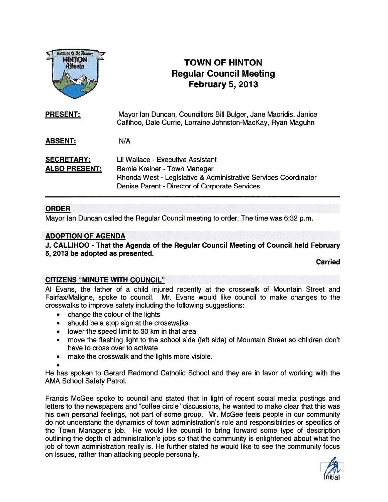

# TOWN OF HINTON Regular Council Meeting February 5, 2013

| <b>PRESENT:</b>                           | Mayor Ian Duncan, Councillors Bill Bulger, Jane Macridis, Janice<br>Callihoo, Dale Currie, Lorraine Johnston-MacKay, Ryan Maguhn                                                        |
|-------------------------------------------|-----------------------------------------------------------------------------------------------------------------------------------------------------------------------------------------|
| <b>ABSENT:</b>                            | N/A                                                                                                                                                                                     |
| <b>SECRETARY:</b><br><b>ALSO PRESENT:</b> | Lil Wallace - Executive Assistant<br>Bernie Kreiner - Town Manager<br>Rhonda West - Legislative & Administrative Services Coordinator<br>Denise Parent - Director of Corporate Services |

# ORDER

Mayor Ian Duncan called the Regular Council meeting to order. The time was 6:32 p.m.

# ADOPTION OF AGENDA

J. CALLIHOO - That the Agenda of the Regular Council Meeting of Council held February 5, 2013 be adopted as presented.

Carried

# CITIZENS "MINUTE WITH COUNCIL"

Al Evans, the father of <sup>a</sup> child injured recently at the crosswalk of Mountain Street and Fairfax/Maligne, spoke to council. Mr. Evans would like council to make changes to the crosswalks to improve safety including the following suggestions:

- •change the colour of the lights
- •should be <sup>a</sup> stop sign at the crosswalks
- •lower the speed limit to 30 km in that area
- • move the flashing light to the school side (left side) of Mountain Street so children don't have to cross over to activate
- •make the crosswalk and the lights more visible.
- 

He has spoken to Gerard Redmond Catholic School and they are in favor of working with the AMA School Safety Patrol.

Francis McGee spoke to council and stated that in light of recent social media postings and letters to the newspapers and 'coffee circle" discussions, he wanted to make clear that this was his own personal feelings, not par<sup>t</sup> of some group. Mr. McGee feels people in our community do not understand the dynamics of town administration's role and responsibilities or specifics of the Town Manager's job. He would like council to bring forward some type of description outlining the depth of administration's jobs so that the community is enlightened about what the job of town administration really is. He further stated he would like to see the community focus on issues, rather than attacking people personally.

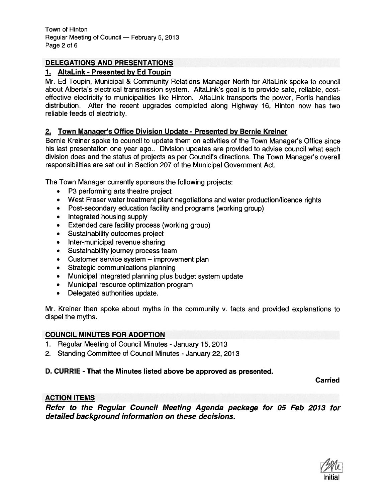# DELEGATIONS AND PRESENTATIONS

# 1. AltaLink - Presented by Ed Toupin

Mr. Ed Toupin, Municipal & Community Relations Manager North for AltaLink spoke to council about Alberta's electrical transmission system. AltaLink's goal is to provide safe, reliable, costeffective electricity to municipalities like Hinton. AltaLink transports the power, Fortis handles distribution. After the recent upgrades completed along Highway 16, Hinton now has two reliable feeds of electricity.

# 2. Town Manager's Office Division Update - Presented by Bernie Kreiner

Bernie Kreiner spoke to council to update them on activities of the Town Manager's Office since his last presentation one year ago.. Division updates are provided to advise council what each division does and the status of projects as per Council's directions. The Town Manager's overall responsibilities are set out in Section 207 of the Municipal Government Act.

The Town Manager currently sponsors the following projects:

- P3 performing arts theatre project
- West Fraser water treatment plant negotiations and water production/licence rights
- •Post-secondary education facility and programs (working group)
- •Integrated housing supply
- •Extended care facility process (working group)
- •Sustainability outcomes project
- •Inter-municipal revenue sharing
- •Sustainability journey process team
- •Customer service system — improvement plan
- •Strategic communications planning
- •Municipal integrated planning plus budget system update
- $\bullet$ Municipal resource optimization program
- •Delegated authorities update.

Mr. Kreiner then spoke about myths in the community v. facts and provided explanations to dispel the myths.

# COUNCIL MINUTES FOR ADOPTION

- 1. Regular Meeting of Council Minutes -January 15, 2013
- 2. Standing Committee of Council Minutes January 22, 2013

# D. CURRIE - That the Minutes listed above be approved as presented.

Carried

# ACTION ITEMS

Refer to the Regular Council Meeting Agenda package for 05 Feb 2013 for detailed background information on these decisions.

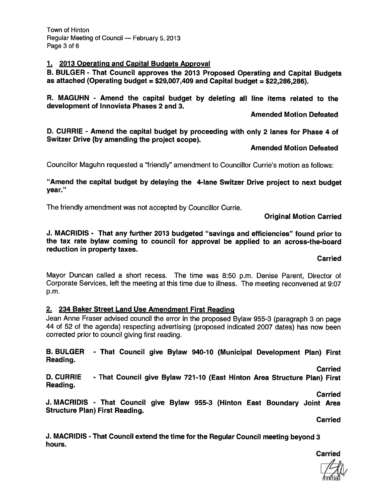Town of Hinton Regular Meeting of Council — February 5, 2013 Page 3 of 6

### 1. 2013 Operating and Capital Budgets Approval

B. BULGER - That Council approves the <sup>2013</sup> Proposed Operating and Capital Budgets as attached (Operating budget =  $$29,007,409$  and Capital budget =  $$22,286,286$ ).

R. MAGUHN - Amend the capital budget by deleting all line items related to the development of Innovista Phases 2 and 3.

Amended Motion Defeated

D. CURRIE - Amend the capital budget by proceeding with only <sup>2</sup> lanes for Phase <sup>4</sup> of Switzer Drive (by amending the project scope).

Amended Motion Defeated

Councillor Maguhn requested <sup>a</sup> "friendly" amendment to Councillor Currie's motion as follows:

"Amend the capital budget by delaying the 4-lane Switzer Drive project to next budget year."

The friendly amendment was not accepted by Councillor Currie.

Original Motion Carried

J. MAC RIDIS - That any further <sup>2013</sup> budgeted "savings and efficiencies" found prior to the tax rate bylaw coming to council for approva<sup>l</sup> be applied to an across-the-board reduction in property taxes.

Carried

Mayor Duncan called <sup>a</sup> short recess. The time was 8:50 p.m. Denise Parent, Director of Corporate Services, left the meeting at this time due to illness. The meeting reconvened at 9:07 p.m.

# 2. 234 Baker Street Land Use Amendment First Reading

Jean Anne Fraser advised council the error in the propose<sup>d</sup> Bylaw 955-3 (paragraph <sup>3</sup> on page 44 of 52 of the agenda) respecting advertising (proposed indicated 2007 dates) has now been corrected prior to council giving first reading.

B. BULGER - That Council <sup>g</sup>ive Bylaw 940-10 (Municipal Development Plan) First Reading.

**Carried** 

D. CURRIE - That Council give Bylaw 721-10 (East Hinton Area Structure Plan) First Reading.

Carried

J. MACRIDIS - That Council <sup>g</sup>ive Bylaw 955-3 (Hinton East Boundary Joint Area Structure Plan) First Reading.

**Carried** 

J. MACRIDIS - That Council extend the time for the Regular Council meeting beyond <sup>3</sup> hours.

Carried

lniia['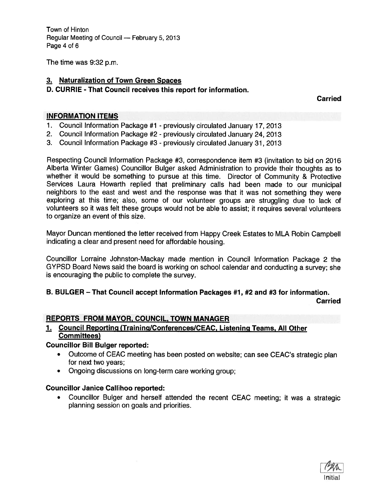Town of Hinton Regular Meeting of Council — February 5, 2013 Page 4 of 6

The time was 9:32 p.m.

# 3. Naturalization of Town Green Spaces

# D. CURRIE -That Council receives this repor<sup>t</sup> for information.

**Carried** 

# INFORMATION ITEMS

- 1. Council Information Package #1 previously circulated January 17, 2013
- 2. Council Information Package #2 previously circulated January 24, <sup>2013</sup>
- 3. Council Information Package #3 previously circulated January 31, 2013

Respecting Council Information Package #3, correspondence item #3 (invitation to bid on 2016 Alberta Winter Games) Councillor Bulger asked Administration to provide their thoughts as to whether it would be something to pursue at this time. Director of Community & Protective Services Laura Howarth replied that preliminary calls had been made to our municipal neighbors to the east and west and the response was that it was not something they were exploring at this time; also, some of our volunteer groups are struggling due to lack of volunteers so it was felt these groups would not be able to assist; it requires several volunteers to organize an event of this size.

Mayor Duncan mentioned the letter received from Happy Creek Estates to MLA Robin Campbell indicating <sup>a</sup> clear and presen<sup>t</sup> need for affordable housing.

Councillor Lorraine Johnston-Mackay made mention in Council Information Package <sup>2</sup> the GYPSD Board News said the board is working on school calendar and conducting <sup>a</sup> survey; she is encouraging the public to complete the survey.

# B. BULGER — That Council accep<sup>t</sup> Information Packages #1, #2 and #3 for information.

**Carried** 

# REPORTS FROM MAYOR, COUNCIL, TOWN MANAGER

1. Council Reporting (Training/Conferences/CEAC, Listening Teams, All Other Committees)

# Councillor Bill Bulger reported:

- Outcome of CEAC meeting has been posted on website; can see CEAC's strategic <sup>p</sup>lan for next two years;
- Ongoing discussions on long-term care working group;

# Councillor Janice Callihoo reported:

 Councillor Bulger and herself attended the recent CEAC meeting; it was <sup>a</sup> strategic planning session on goals and priorities.

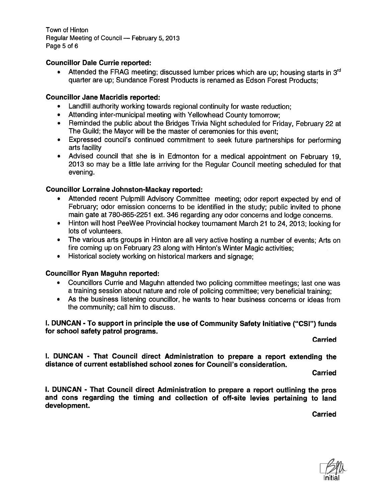Town of Hinton Regular Meeting of Council — February 5, 2013 Page 5 of 6

### Councillor Dale Currie reported:

**•** Attended the FRAG meeting; discussed lumber prices which are up; housing starts in  $3<sup>rd</sup>$ quarter are up; Sundance Forest Products is renamed as Edson Forest Products;

### Councillor Jane Macridis reported:

- Landfill authority working towards regional continuity for waste reduction;
- Attending inter-municipal meeting with Yellowhead County tomorrow;
- Reminded the public about the Bridges Trivia Night scheduled for Friday, February <sup>22</sup> at The Guild; the Mayor will be the master of ceremonies for this event;
- Expressed council's continued commitment to seek future partnerships for performing arts facility
- Advised council that she is in Edmonton for <sup>a</sup> medical appointment on February 19, 2013 so may be <sup>a</sup> little late arriving for the Regular Council meeting scheduled for that evening.

### Councillor Lorraine Johnston-Mackay reported:

- Attended recent Pulpmill Advisory Committee meeting; odor repor<sup>t</sup> expected by end of February; odor emission concerns to be identified in the study; public invited to <sup>p</sup>hone main gate at 780-865-2251 ext. 346 regarding any odor concerns and lodge concerns.
- Hinton will host PeeWee Provincial hockey tournament March <sup>21</sup> to 24, 2013; looking for lots of volunteers.
- The various arts groups in Hinton are all very active hosting <sup>a</sup> number of events; Arts on fire coming up on February 23 along with Hinton's Winter Magic activities;
- •Historical society working on historical markers and signage;

#### Councillor Ryan Maguhn reported:

- Councillors Currie and Maguhn attended two policing committee meetings; last one was <sup>a</sup> training session about nature and role of policing committee; very beneficial training;
- As the business listening councillor, he wants to hear business concerns or ideas from the community; call him to discuss.

I. DUNCAN - To suppor<sup>t</sup> in principle the use of Community Safety Initiative ("CSI") funds for school safety patrol programs.

**Carried** 

I. DUNCAN - That Council direct Administration to prepare <sup>a</sup> repor<sup>t</sup> extending the distance of current established school zones for Council's consideration.

**Carried** 

I. DUNCAN - That Council direct Administration to prepare <sup>a</sup> repor<sup>t</sup> outlining the pros and cons regarding the timing and collection of off-site levies pertaining to land development.

**Carried** 

Initial